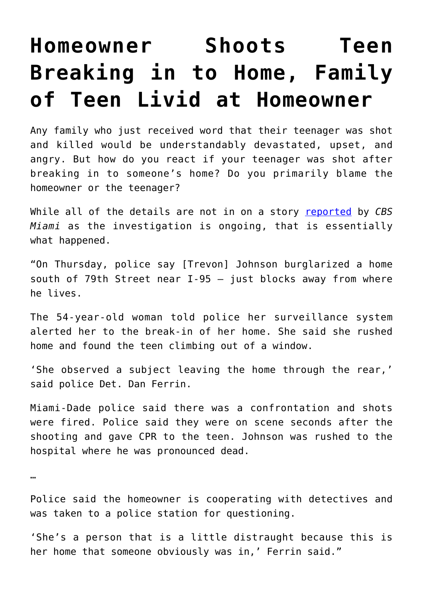## **[Homeowner Shoots Teen](https://intellectualtakeout.org/2016/03/homeowner-shoots-teen-breaking-in-to-home-family-of-teen-livid-at-homeowner/) [Breaking in to Home, Family](https://intellectualtakeout.org/2016/03/homeowner-shoots-teen-breaking-in-to-home-family-of-teen-livid-at-homeowner/) [of Teen Livid at Homeowner](https://intellectualtakeout.org/2016/03/homeowner-shoots-teen-breaking-in-to-home-family-of-teen-livid-at-homeowner/)**

Any family who just received word that their teenager was shot and killed would be understandably devastated, upset, and angry. But how do you react if your teenager was shot after breaking in to someone's home? Do you primarily blame the homeowner or the teenager?

While all of the details are not in on a story [reported](http://www.twincitiesnewstalk.com/articles/national-national-news-104668/family-livid-after-homeowner-shoots-and-14495082/) by *CBS Miami* as the investigation is ongoing, that is essentially what happened.

"On Thursday, police say [Trevon] Johnson burglarized a home south of 79th Street near  $I-95 - i$ ust blocks away from where he lives.

The 54-year-old woman told police her surveillance system alerted her to the break-in of her home. She said she rushed home and found the teen climbing out of a window.

'She observed a subject leaving the home through the rear,' said police Det. Dan Ferrin.

Miami-Dade police said there was a confrontation and shots were fired. Police said they were on scene seconds after the shooting and gave CPR to the teen. Johnson was rushed to the hospital where he was pronounced dead.

…

Police said the homeowner is cooperating with detectives and was taken to a police station for questioning.

'She's a person that is a little distraught because this is her home that someone obviously was in,' Ferrin said."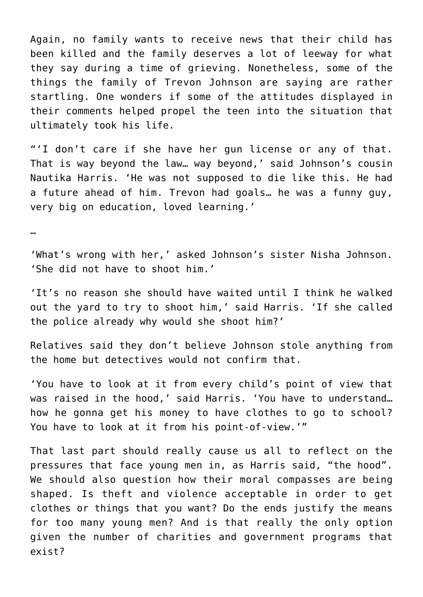Again, no family wants to receive news that their child has been killed and the family deserves a lot of leeway for what they say during a time of grieving. Nonetheless, some of the things the family of Trevon Johnson are saying are rather startling. One wonders if some of the attitudes displayed in their comments helped propel the teen into the situation that ultimately took his life.

"'I don't care if she have her gun license or any of that. That is way beyond the law… way beyond,' said Johnson's cousin Nautika Harris. 'He was not supposed to die like this. He had a future ahead of him. Trevon had goals… he was a funny guy, very big on education, loved learning.'

…

'What's wrong with her,' asked Johnson's sister Nisha Johnson. 'She did not have to shoot him.'

'It's no reason she should have waited until I think he walked out the yard to try to shoot him,' said Harris. 'If she called the police already why would she shoot him?'

Relatives said they don't believe Johnson stole anything from the home but detectives would not confirm that.

'You have to look at it from every child's point of view that was raised in the hood,' said Harris. 'You have to understand… how he gonna get his money to have clothes to go to school? You have to look at it from his point-of-view.'"

That last part should really cause us all to reflect on the pressures that face young men in, as Harris said, "the hood". We should also question how their moral compasses are being shaped. Is theft and violence acceptable in order to get clothes or things that you want? Do the ends justify the means for too many young men? And is that really the only option given the number of charities and government programs that exist?